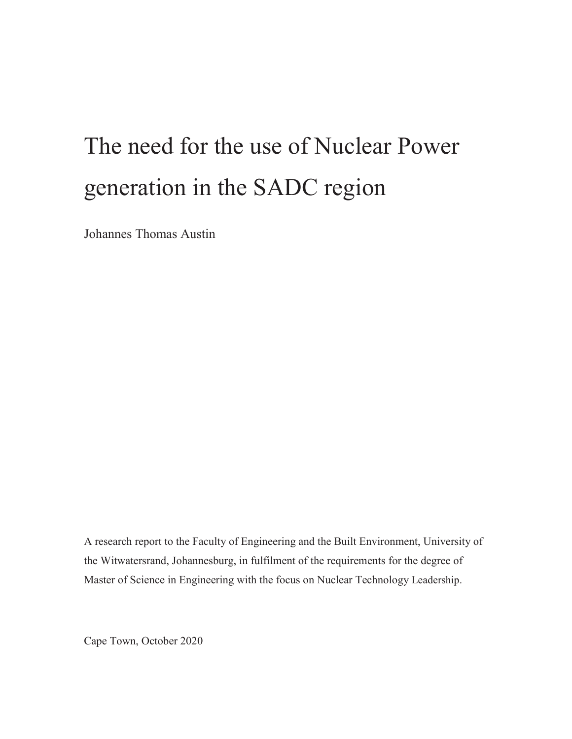## The need for the use of Nuclear Power generation in the SADC region

Johannes Thomas Austin

A research report to the Faculty of Engineering and the Built Environment, University of the Witwatersrand, Johannesburg, in fulfilment of the requirements for the degree of Master of Science in Engineering with the focus on Nuclear Technology Leadership.

Cape Town, October 2020